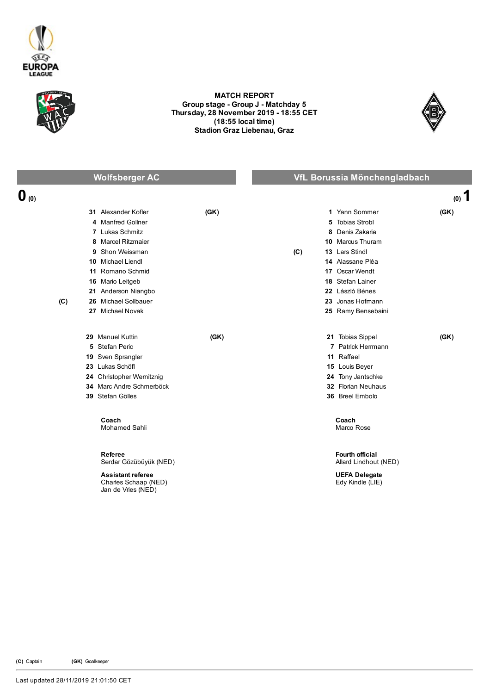



## MATCH REPORT Group stage - Group J - Matchday 5 Thursday, 28 November 2019 18:55 CET (18:55 local time) Stadion Graz Liebenau, Graz



|                  |     | <b>Wolfsberger AC</b>                                                  |      |     | VfL Borussia Mönchengladbach                    |         |
|------------------|-----|------------------------------------------------------------------------|------|-----|-------------------------------------------------|---------|
| $\mathbf{0}$ (0) |     |                                                                        |      |     |                                                 | $(0)$ 1 |
|                  |     | 31 Alexander Kofler                                                    | (GK) |     | 1 Yann Sommer                                   | (GK)    |
|                  |     | 4 Manfred Gollner                                                      |      |     | <b>Tobias Strobl</b><br>5                       |         |
|                  |     | 7 Lukas Schmitz                                                        |      |     | Denis Zakaria<br>8                              |         |
|                  |     | 8 Marcel Ritzmaier                                                     |      |     | 10 Marcus Thuram                                |         |
|                  |     | 9 Shon Weissman                                                        |      | (C) | 13 Lars Stindl                                  |         |
|                  |     | 10 Michael Liendl                                                      |      |     | 14 Alassane Pléa                                |         |
|                  |     | 11 Romano Schmid                                                       |      |     | 17 Oscar Wendt                                  |         |
|                  |     | 16 Mario Leitgeb                                                       |      |     | 18 Stefan Lainer                                |         |
|                  |     | 21 Anderson Niangbo                                                    |      |     | 22 László Bénes                                 |         |
|                  | (C) | 26 Michael Sollbauer                                                   |      |     | 23 Jonas Hofmann                                |         |
|                  |     | 27 Michael Novak                                                       |      |     | 25 Ramy Bensebaini                              |         |
|                  |     | 29 Manuel Kuttin                                                       | (GK) |     | 21 Tobias Sippel                                | (GK)    |
|                  |     | 5 Stefan Peric                                                         |      |     | 7 Patrick Herrmann                              |         |
|                  |     | 19 Sven Sprangler                                                      |      |     | 11 Raffael                                      |         |
|                  |     | 23 Lukas Schöfl                                                        |      |     | 15 Louis Beyer                                  |         |
|                  |     | 24 Christopher Wernitznig                                              |      |     | 24 Tony Jantschke                               |         |
|                  |     | 34 Marc Andre Schmerböck                                               |      |     | 32 Florian Neuhaus                              |         |
|                  |     | 39 Stefan Gölles                                                       |      |     | 36 Breel Embolo                                 |         |
|                  |     | Coach<br><b>Mohamed Sahli</b>                                          |      |     | Coach<br>Marco Rose                             |         |
|                  |     | Referee<br>Serdar Gözübüyük (NED)                                      |      |     | <b>Fourth official</b><br>Allard Lindhout (NED) |         |
|                  |     | <b>Assistant referee</b><br>Charles Schaap (NED)<br>Jan de Vries (NED) |      |     | <b>UEFA Delegate</b><br>Edy Kindle (LIE)        |         |